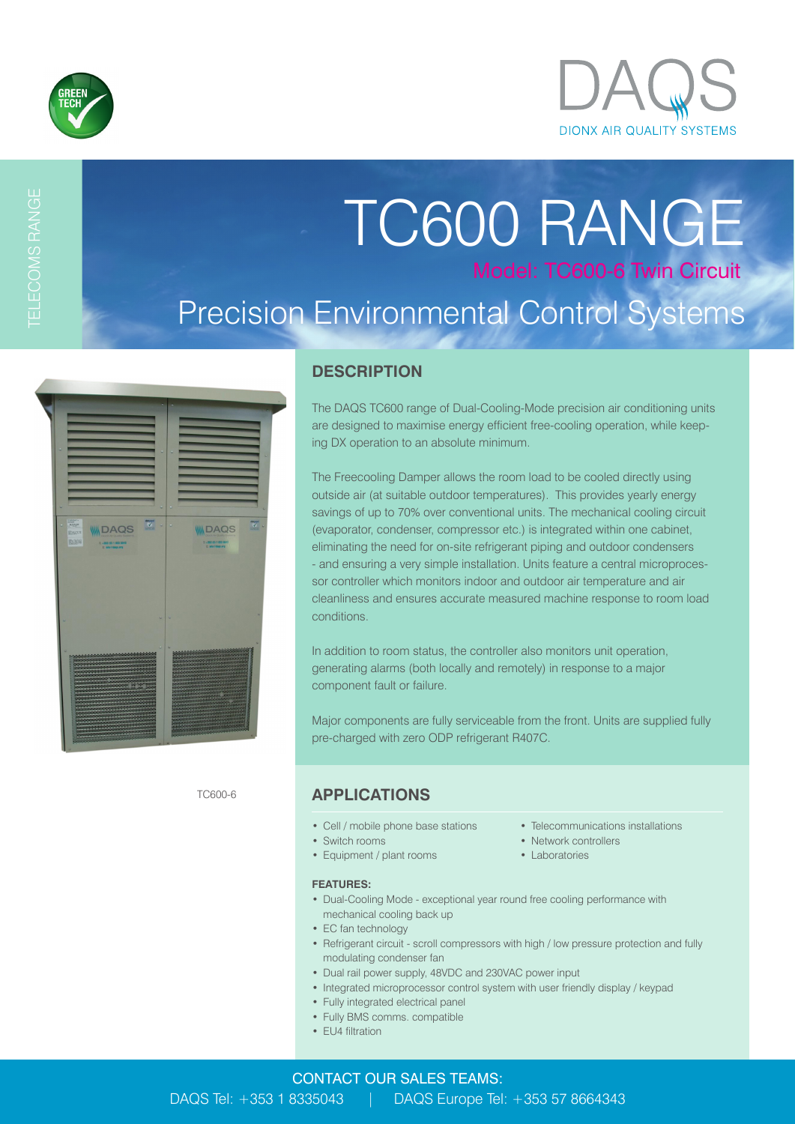

TELECOMS RANGE

# TC600 RANGE Model: TC600-6 Twin Circuit Precision Environmental Control Systems

| 224                                            |                                                                                                                                         | $\mathbf{z}$ |                                                           | $\overline{\mathscr{C}}$ .                             |
|------------------------------------------------|-----------------------------------------------------------------------------------------------------------------------------------------|--------------|-----------------------------------------------------------|--------------------------------------------------------|
| $\frac{1}{\sqrt{2}}$<br>EZUSUS<br><b>BS398</b> | <b>INDAQS</b><br>T: +353 (0) 1 833 5043<br>E MATGAZINE                                                                                  |              | <b>WIDAQS</b><br>1: +253 (8) 1 833 5643<br>E Malldage.org |                                                        |
|                                                |                                                                                                                                         |              |                                                           |                                                        |
|                                                |                                                                                                                                         |              |                                                           |                                                        |
|                                                |                                                                                                                                         |              |                                                           |                                                        |
|                                                | ,,,,,,,,,,,,,,,,,,,,,,,,,,,,,,,<br>1000000000000000000<br>,,,,,,,,,,,,,,,,,,,,,,,                                                       |              |                                                           | <b>Management of the Committee Committee Committee</b> |
|                                                | skokokokokokokokokokokokokokokokoko<br>14040kokokokokokokokokokokokokoko<br>igagagagagagagagagagagagaga<br>Kongkongkakakakangkangkakaka |              |                                                           |                                                        |

### **DESCRIPTION**

The DAQS TC600 range of Dual-Cooling-Mode precision air conditioning units are designed to maximise energy efficient free-cooling operation, while keeping DX operation to an absolute minimum.

The Freecooling Damper allows the room load to be cooled directly using outside air (at suitable outdoor temperatures). This provides yearly energy savings of up to 70% over conventional units. The mechanical cooling circuit (evaporator, condenser, compressor etc.) is integrated within one cabinet, eliminating the need for on-site refrigerant piping and outdoor condensers - and ensuring a very simple installation. Units feature a central microprocessor controller which monitors indoor and outdoor air temperature and air cleanliness and ensures accurate measured machine response to room load conditions.

In addition to room status, the controller also monitors unit operation, generating alarms (both locally and remotely) in response to a major component fault or failure.

Major components are fully serviceable from the front. Units are supplied fully pre-charged with zero ODP refrigerant R407C.

### **APPLICATIONS**

- Cell / mobile phone base stations Telecommunications installations
- Switch rooms Network controllers
- Equipment / plant rooms Laboratories

#### **FEATURES:**

- Dual-Cooling Mode exceptional year round free cooling performance with mechanical cooling back up
- EC fan technology
- Refrigerant circuit scroll compressors with high / low pressure protection and fully modulating condenser fan
- Dual rail power supply, 48VDC and 230VAC power input
- Integrated microprocessor control system with user friendly display / keypad
- Fully integrated electrical panel
- Fully BMS comms. compatible
- EU4 filtration
- 
- 
- 

TC600-6